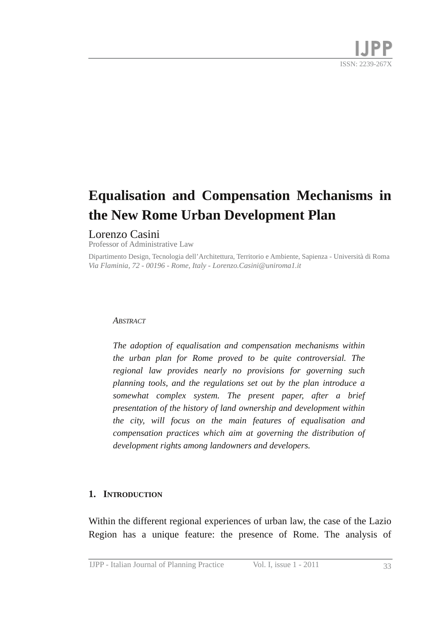# **Equalisation and Compensation Mechanisms in the New Rome Urban Development Plan**

## Lorenzo Casini

Professor of Administrative Law

*Via Flaminia, 72 00196 Rome, Italy Lorenzo.Casini@uniroma1.it* Dipartimento Design, Tecnologia dell'Architettura, Territorio e Ambiente, Sapienza Università di Roma

#### *ABSTRACT*

*The adoption of equalisation and compensation mechanisms within the urban plan for Rome proved to be quite controversial. The regional law provides nearly no provisions for governing such planning tools, and the regulations set out by the plan introduce a somewhat complex system. The present paper, after a brief presentation of the history of land ownership and development within the city, will focus on the main features of equalisation and compensation practices which aim at governing the distribution of development rights among landowners and developers.*

### **1. INTRODUCTION**

Within the different regional experiences of urban law, the case of the Lazio Region has a unique feature: the presence of Rome. The analysis of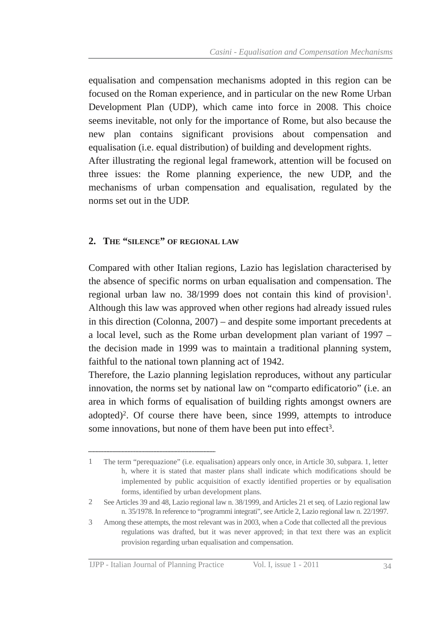equalisation and compensation mechanisms adopted in this region can be focused on the Roman experience, and in particular on the new Rome Urban Development Plan (UDP), which came into force in 2008. This choice seems inevitable, not only for the importance of Rome, but also because the new plan contains significant provisions about compensation and equalisation (i.e. equal distribution) of building and development rights. After illustrating the regional legal framework, attention will be focused on three issues: the Rome planning experience, the new UDP, and the mechanisms of urban compensation and equalisation, regulated by the norms set out in the UDP.

### **2. THE "SILENCE" OF REGIONAL LAW**

Compared with other Italian regions, Lazio has legislation characterised by the absence of specific norms on urban equalisation and compensation. The regional urban law no. 38/1999 does not contain this kind of provision 1 . Although this law was approved when other regions had already issued rules in this direction (Colonna, 2007) – and despite some important precedents at a local level, such as the Rome urban development plan variant of 1997 – the decision made in 1999 was to maintain a traditional planning system, faithful to the national town planning act of 1942.

Therefore, the Lazio planning legislation reproduces, without any particular innovation, the norms set by national law on "comparto edificatorio" (i.e. an area in which forms of equalisation of building rights amongst owners are adopted) 2 . Of course there have been, since 1999, attempts to introduce some innovations, but none of them have been put into effect<sup>3</sup>.

h, where it is stated that master plans shall indicate which modifications should be implemented by public acquisition of exactly identified properties or by equalisation forms, identified by urban development plans. 1 The term "perequazione" (i.e. equalisation) appears only once, in Article 30, subpara. 1, letter

n. 35/1978. In reference to "programmi integrati", see Article 2, Lazio regional law n. 22/1997. 2 See Articles 39 and 48, Lazio regional law n. 38/1999, and Articles 21 et seq. of Lazio regional law

regulations was drafted, but it was never approved; in that text there was an explicit provision regarding urban equalisation and compensation. 3 Among these attempts, the most relevant was in 2003, when a Code that collected all the previous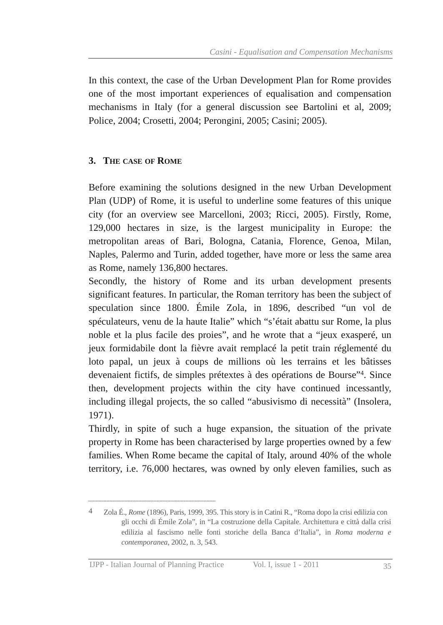In this context, the case of the Urban Development Plan for Rome provides one of the most important experiences of equalisation and compensation mechanisms in Italy (for a general discussion see Bartolini et al, 2009; Police, 2004; Crosetti, 2004; Perongini, 2005; Casini; 2005).

# **3. THE CASE OF ROME**

Before examining the solutions designed in the new Urban Development Plan (UDP) of Rome, it is useful to underline some features of this unique city (for an overview see Marcelloni, 2003; Ricci, 2005). Firstly, Rome, 129,000 hectares in size, is the largest municipality in Europe: the metropolitan areas of Bari, Bologna, Catania, Florence, Genoa, Milan, Naples, Palermo and Turin, added together, have more or less the same area as Rome, namely 136,800 hectares.

Secondly, the history of Rome and its urban development presents significant features. In particular, the Roman territory has been the subject of speculation since 1800. Émile Zola, in 1896, described "un vol de spéculateurs, venu de la haute Italie" which "s'était abattu sur Rome, la plus noble et la plus facile des proies", and he wrote that a "jeux exasperé, un jeux formidabile dont la fièvre avait remplacé la petit train réglementé du loto papal, un jeux à coups de millions où les terrains et les bâtisses devenaient fictifs, de simples prétextes à des opérations de Bourse" 4 . Since then, development projects within the city have continued incessantly, including illegal projects, the so called "abusivismo di necessità" (Insolera, 1971).

Thirdly, in spite of such a huge expansion, the situation of the private property in Rome has been characterised by large properties owned by a few families. When Rome became the capital of Italy, around 40% of the whole territory, i.e. 76,000 hectares, was owned by only eleven families, such as

gli occhi di Émile Zola", in "La costruzione della Capitale. Architettura e città dalla crisi edilizia al fascismo nelle fonti storiche della Banca d'Italia", in *Roma moderna e contemporanea*, 2002, n. 3, 543. 4 Zola É., *Rome* (1896), Paris, 1999, 395. This story is in Catini R., "Roma dopo la crisi edilizia con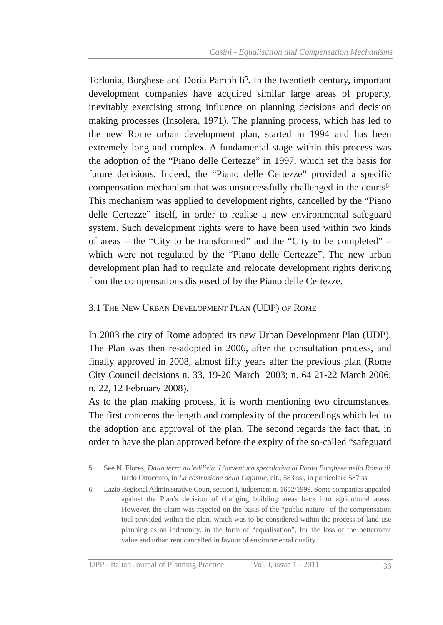Torlonia, Borghese and Doria Pamphili 5 . In the twentieth century, important development companies have acquired similar large areas of property, inevitably exercising strong influence on planning decisions and decision making processes (Insolera, 1971). The planning process, which has led to the new Rome urban development plan, started in 1994 and has been extremely long and complex. A fundamental stage within this process was the adoption of the "Piano delle Certezze" in 1997, which set the basis for future decisions. Indeed, the "Piano delle Certezze" provided a specific compensation mechanism that was unsuccessfully challenged in the courts 6 . This mechanism was applied to development rights, cancelled by the "Piano delle Certezze" itself, in order to realise a new environmental safeguard system. Such development rights were to have been used within two kinds of areas – the "City to be transformed" and the "City to be completed" – which were not regulated by the "Piano delle Certezze". The new urban development plan had to regulate and relocate development rights deriving from the compensations disposed of by the Piano delle Certezze.

## 3.1 THE NEW URBAN DEVELOPMENT PLAN (UDP) OF ROME

In 2003 the city of Rome adopted its new Urban Development Plan (UDP). The Plan was then re-adopted in 2006, after the consultation process, and finally approved in 2008, almost fifty years after the previous plan (Rome City Council decisions n. 33, 19-20 March 2003; n. 64 21-22 March 2006; n. 22, 12 February 2008).

As to the plan making process, it is worth mentioning two circumstances. The first concerns the length and complexity of the proceedings which led to the adoption and approval of the plan. The second regards the fact that, in order to have the plan approved before the expiry of the so-called "safeguard"

tardo Ottocento, in *La costruzione della Capitale*, cit., 583 ss., in particolare 587 ss. 5 See N. Flores, *Dalla terra all'edilizia. L'avventura speculativa di Paolo Borghese nella Roma di*

against the Plan's decision of changing building areas back into agricultural areas. However, the claim was rejected on the basis of the "public nature" of the compensation tool provided within the plan, which was to be considered within the process of land use planning as an indemnity, in the form of "equalisation", for the loss of the betterment value and urban rent cancelled in favour of environmental quality. 6 Lazio Regional Administrative Court, section I, judgement n. 1652/1999. Some companies appealed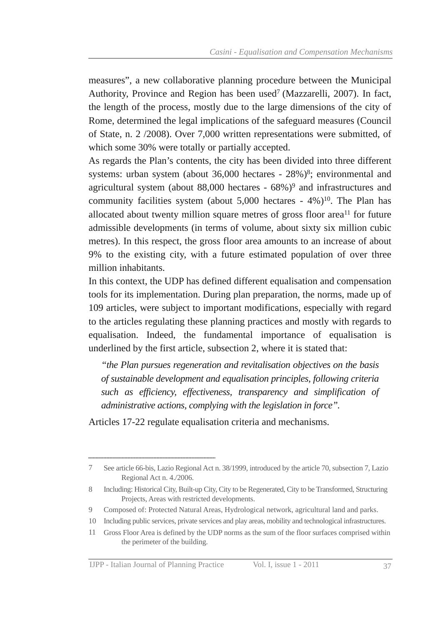measures", a new collaborative planning procedure between the Municipal Authority, Province and Region has been used 7 (Mazzarelli, 2007). In fact, the length of the process, mostly due to the large dimensions of the city of Rome, determined the legal implications of the safeguard measures (Council of State, n. 2 /2008). Over 7,000 written representations were submitted, of which some 30% were totally or partially accepted.

As regards the Plan's contents, the city has been divided into three different systems: urban system (about 36,000 hectares - 28%)<sup>8</sup>; environmental and agricultural system (about 88,000 hectares - 68%)<sup>9</sup> and infrastructures and community facilities system (about 5,000 hectares - 4%)<sup>10</sup>. The Plan has allocated about twenty million square metres of gross floor area<sup>11</sup> for future admissible developments (in terms of volume, about sixty six million cubic metres). In this respect, the gross floor area amounts to an increase of about 9% to the existing city, with a future estimated population of over three million inhabitants.

In this context, the UDP has defined different equalisation and compensation tools for its implementation. During plan preparation, the norms, made up of 109 articles, were subject to important modifications, especially with regard to the articles regulating these planning practices and mostly with regards to equalisation. Indeed, the fundamental importance of equalisation is underlined by the first article, subsection 2, where it is stated that:

*"the Plan pursues regeneration and revitalisation objectives on the basis of sustainable development and equalisation principles, following criteria such as efficiency, effectiveness, transparency and simplification of administrative actions, complying with the legislation in force".*

Articles 17-22 regulate equalisation criteria and mechanisms.

Regional Act n. 4./2006. 7 See article 66-bis, Lazio Regional Act n. 38/1999, introduced by the article 70, subsection 7, Lazio

Projects, Areas with restricted developments. 8 Including: Historical City, Built-up City, City to be Regenerated, City to be Transformed, Structuring

<sup>9</sup> Composed of: Protected Natural Areas, Hydrological network, agricultural land and parks.

<sup>10</sup> Including public services, private services and play areas, mobility and technological infrastructures.

the perimeter of the building. 11 Gross Floor Area is defined by the UDP norms as the sum of the floor surfaces comprised within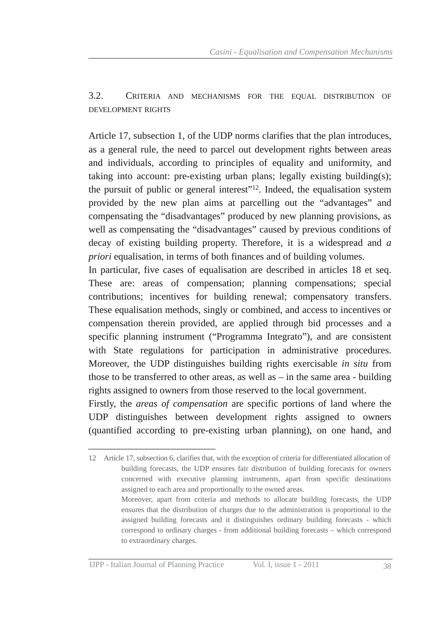3.2. CRITERIA AND MECHANISMS FOR THE EQUAL DISTRIBUTION OF DEVELOPMENT RIGHTS

Article 17, subsection 1, of the UDP norms clarifies that the plan introduces, as a general rule, the need to parcel out development rights between areas and individuals, according to principles of equality and uniformity, and taking into account: pre-existing urban plans; legally existing building $(s)$ ; the pursuit of public or general interest"<sup>12</sup>. Indeed, the equalisation system provided by the new plan aims at parcelling out the "advantages" and compensating the "disadvantages" produced by new planning provisions, as well as compensating the "disadvantages" caused by previous conditions of decay of existing building property. Therefore, it is a widespread and *a priori* equalisation, in terms of both finances and of building volumes.

In particular, five cases of equalisation are described in articles 18 et seq. These are: areas of compensation; planning compensations; special contributions; incentives for building renewal; compensatory transfers. These equalisation methods, singly or combined, and access to incentives or compensation therein provided, are applied through bid processes and a specific planning instrument ("Programma Integrato"), and are consistent with State regulations for participation in administrative procedures. Moreover, the UDP distinguishes building rights exercisable *in situ* from those to be transferred to other areas, as well as  $-$  in the same area  $-$  building rights assigned to owners from those reserved to the local government.

Firstly, the *areas of compensation* are specific portions of land where the UDP distinguishes between development rights assigned to owners (quantified according to preexisting urban planning), on one hand, and

building forecasts, the UDP ensures fair distribution of building forecasts for owners concerned with executive planning instruments, apart from specific destinations assigned to each area and proportionally to the owned areas. Moreover, apart from criteria and methods to allocate building forecasts, the UDP ensures that the distribution of charges due to the administration is proportional to the assigned building forecasts and it distinguishes ordinary building forecasts - which correspond to ordinary charges - from additional building forecasts – which correspond to extraordinary charges. 12 Article 17, subsection 6, clarifies that, with the exception of criteria for differentiated allocation of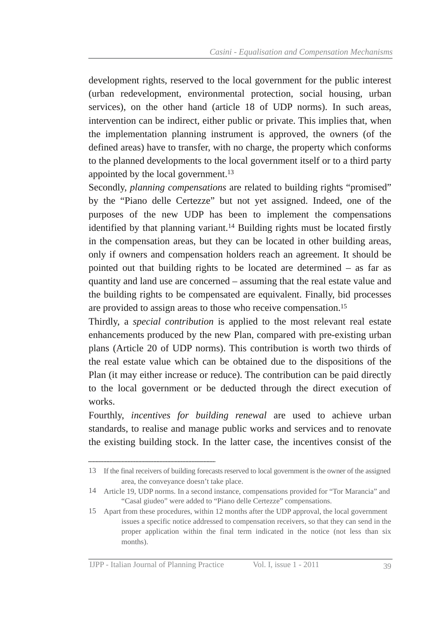development rights, reserved to the local government for the public interest (urban redevelopment, environmental protection, social housing, urban services), on the other hand (article 18 of UDP norms). In such areas, intervention can be indirect, either public or private. This implies that, when the implementation planning instrument is approved, the owners (of the defined areas) have to transfer, with no charge, the property which conforms to the planned developments to the local government itself or to a third party appointed by the local government. 13

Secondly, *planning compensations* are related to building rights "promised" by the "Piano delle Certezze" but not yet assigned. Indeed, one of the purposes of the new UDP has been to implement the compensations identified by that planning variant. <sup>14</sup> Building rights must be located firstly in the compensation areas, but they can be located in other building areas, only if owners and compensation holders reach an agreement. It should be pointed out that building rights to be located are determined – as far as quantity and land use are concerned – assuming that the real estate value and the building rights to be compensated are equivalent. Finally, bid processes are provided to assign areas to those who receive compensation. 15

Thirdly, a *special contribution* is applied to the most relevant real estate enhancements produced by the new Plan, compared with pre-existing urban plans (Article 20 of UDP norms). This contribution is worth two thirds of the real estate value which can be obtained due to the dispositions of the Plan (it may either increase or reduce). The contribution can be paid directly to the local government or be deducted through the direct execution of works.

Fourthly, *incentives for building renewal* are used to achieve urban standards, to realise and manage public works and services and to renovate the existing building stock. In the latter case, the incentives consist of the

area, the conveyance doesn't take place. 13 If the final receivers of building forecasts reserved to local government is the owner of the assigned

<sup>&</sup>quot;Casal giudeo" were added to "Piano delle Certezze" compensations. 14 Article 19, UDP norms. In a second instance, compensations provided for "Tor Marancia" and

issues a specific notice addressed to compensation receivers, so that they can send in the proper application within the final term indicated in the notice (not less than six months). 15 Apart from these procedures, within 12 months after the UDP approval, the local government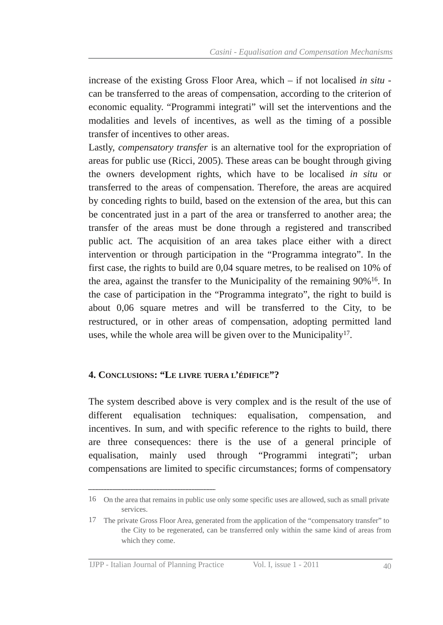increase of the existing Gross Floor Area, which – if not localised *in situ* can be transferred to the areas of compensation, according to the criterion of economic equality. "Programmi integrati" will set the interventions and the modalities and levels of incentives, as well as the timing of a possible transfer of incentives to other areas.

Lastly, *compensatory transfer* is an alternative tool for the expropriation of areas for public use (Ricci, 2005). These areas can be bought through giving the owners development rights, which have to be localised *in situ* or transferred to the areas of compensation. Therefore, the areas are acquired by conceding rights to build, based on the extension of the area, but this can be concentrated just in a part of the area or transferred to another area; the transfer of the areas must be done through a registered and transcribed public act. The acquisition of an area takes place either with a direct intervention or through participation in the "Programma integrato". In the first case, the rights to build are 0,04 square metres, to be realised on 10% of the area, against the transfer to the Municipality of the remaining 90%<sup>16</sup>. In the case of participation in the "Programma integrato", the right to build is about 0,06 square metres and will be transferred to the City, to be restructured, or in other areas of compensation, adopting permitted land uses, while the whole area will be given over to the Municipality<sup>17</sup>.

### **4. CONCLUSIONS: "LE LIVRE TUERA L'ÉDIFICE"?**

The system described above is very complex and is the result of the use of different equalisation techniques: equalisation, compensation, and incentives. In sum, and with specific reference to the rights to build, there are three consequences: there is the use of a general principle of equalisation, mainly used through "Programmi integrati"; urban compensations are limited to specific circumstances; forms of compensatory

services. 16 On the area that remains in public use only some specific uses are allowed, such as small private

the City to be regenerated, can be transferred only within the same kind of areas from which they come. 17 The private Gross Floor Area, generated from the application of the "compensatory transfer" to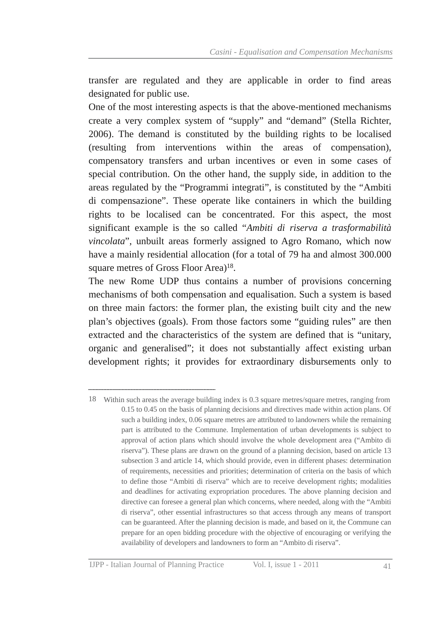transfer are regulated and they are applicable in order to find areas designated for public use.

One of the most interesting aspects is that the above-mentioned mechanisms create a very complex system of "supply" and "demand" (Stella Richter, 2006). The demand is constituted by the building rights to be localised (resulting from interventions within the areas of compensation), compensatory transfers and urban incentives or even in some cases of special contribution. On the other hand, the supply side, in addition to the areas regulated by the "Programmi integrati", is constituted by the "Ambiti di compensazione". These operate like containers in which the building rights to be localised can be concentrated. For this aspect, the most significant example is the so called "*Ambiti di riserva a trasformabilità vincolata*", unbuilt areas formerly assigned to Agro Romano, which now have a mainly residential allocation (for a total of 79 ha and almost 300.000 square metres of Gross Floor Area)<sup>18</sup>.

The new Rome UDP thus contains a number of provisions concerning mechanisms of both compensation and equalisation. Such a system is based on three main factors: the former plan, the existing built city and the new plan's objectives (goals). From those factors some "guiding rules" are then extracted and the characteristics of the system are defined that is "unitary, organic and generalised"; it does not substantially affect existing urban development rights; it provides for extraordinary disbursements only to

<sup>0.15</sup> to 0.45 on the basis of planning decisions and directives made within action plans. Of such a building index, 0.06 square metres are attributed to landowners while the remaining part is attributed to the Commune. Implementation of urban developments is subject to approval of action plans which should involve the whole development area ("Ambito di riserva"). These plans are drawn on the ground of a planning decision, based on article 13 subsection 3 and article 14, which should provide, even in different phases: determination of requirements, necessities and priorities; determination of criteria on the basis of which to define those "Ambiti di riserva" which are to receive development rights; modalities and deadlines for activating expropriation procedures. The above planning decision and directive can foresee a general plan which concerns, where needed, along with the "Ambiti di riserva", other essential infrastructures so that access through any means of transport can be guaranteed. After the planning decision is made, and based on it, the Commune can prepare for an open bidding procedure with the objective of encouraging or verifying the availability of developers and landowners to form an "Ambito di riserva". 18 Within such areas the average building index is 0.3 square metres/square metres, ranging from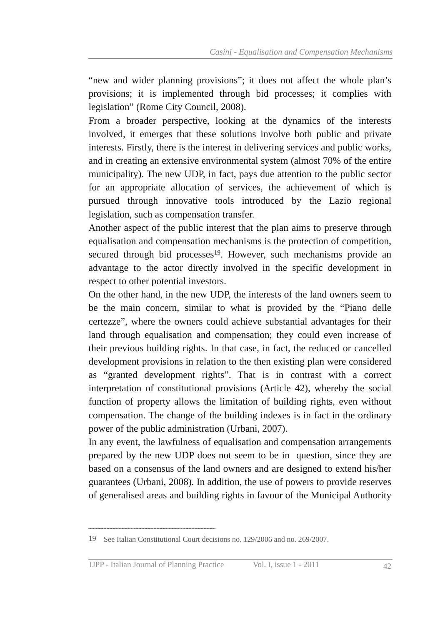"new and wider planning provisions"; it does not affect the whole plan's provisions; it is implemented through bid processes; it complies with legislation" (Rome City Council, 2008).

From a broader perspective, looking at the dynamics of the interests involved, it emerges that these solutions involve both public and private interests. Firstly, there is the interest in delivering services and public works, and in creating an extensive environmental system (almost 70% of the entire municipality). The new UDP, in fact, pays due attention to the public sector for an appropriate allocation of services, the achievement of which is pursued through innovative tools introduced by the Lazio regional legislation, such as compensation transfer.

Another aspect of the public interest that the plan aims to preserve through equalisation and compensation mechanisms is the protection of competition, secured through bid processes<sup>19</sup>. However, such mechanisms provide an advantage to the actor directly involved in the specific development in respect to other potential investors.

On the other hand, in the new UDP, the interests of the land owners seem to be the main concern, similar to what is provided by the "Piano delle certezze", where the owners could achieve substantial advantages for their land through equalisation and compensation; they could even increase of their previous building rights. In that case, in fact, the reduced or cancelled development provisions in relation to the then existing plan were considered as "granted development rights". That is in contrast with a correct interpretation of constitutional provisions (Article 42), whereby the social function of property allows the limitation of building rights, even without compensation. The change of the building indexes is in fact in the ordinary power of the public administration (Urbani, 2007).

In any event, the lawfulness of equalisation and compensation arrangements prepared by the new UDP does not seem to be in question, since they are based on a consensus of the land owners and are designed to extend his/her guarantees (Urbani, 2008). In addition, the use of powers to provide reserves of generalised areas and building rights in favour of the Municipal Authority

<sup>19</sup> See Italian Constitutional Court decisions no. 129/2006 and no. 269/2007.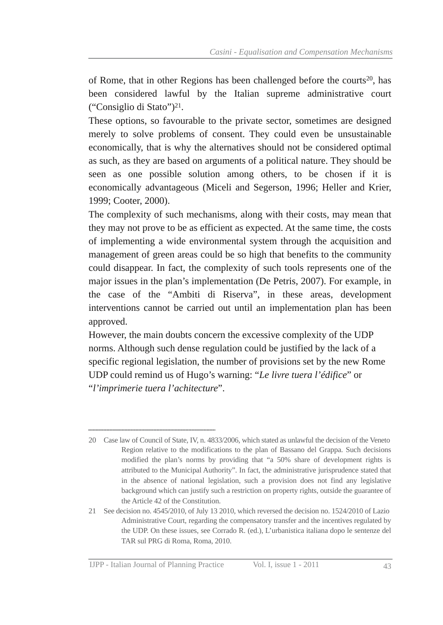of Rome, that in other Regions has been challenged before the courts<sup>20</sup>, has been considered lawful by the Italian supreme administrative court ("Consiglio di Stato") 21 .

These options, so favourable to the private sector, sometimes are designed merely to solve problems of consent. They could even be unsustainable economically, that is why the alternatives should not be considered optimal as such, as they are based on arguments of a political nature. They should be seen as one possible solution among others, to be chosen if it is economically advantageous (Miceli and Segerson, 1996; Heller and Krier, 1999; Cooter, 2000).

The complexity of such mechanisms, along with their costs, may mean that they may not prove to be as efficient as expected. At the same time, the costs of implementing a wide environmental system through the acquisition and management of green areas could be so high that benefits to the community could disappear. In fact, the complexity of such tools represents one of the major issues in the plan's implementation (De Petris, 2007). For example, in the case of the "Ambiti di Riserva", in these areas, development interventions cannot be carried out until an implementation plan has been approved.

However, the main doubts concern the excessive complexity of the UDP norms. Although such dense regulation could be justified by the lack of a specific regional legislation, the number of provisions set by the new Rome UDP could remind us of Hugo's warning: "*Le livre tuera l'édifice*" or "*l'imprimerie tuera l'achitecture*".

Region relative to the modifications to the plan of Bassano del Grappa. Such decisions modified the plan's norms by providing that "a 50% share of development rights is attributed to the Municipal Authority". In fact, the administrative jurisprudence stated that in the absence of national legislation, such a provision does not find any legislative background which can justify such a restriction on property rights, outside the guarantee of the Article 42 of the Constitution. 20 Case law of Council of State, IV, n. 4833/2006, which stated as unlawful the decision of the Veneto

Administrative Court, regarding the compensatory transfer and the incentives regulated by the UDP. On these issues, see Corrado R. (ed.), L'urbanistica italiana dopo le sentenze del TAR sul PRG di Roma, Roma, 2010. 21 See decision no. 4545/2010, of July 13 2010, which reversed the decision no. 1524/2010 of Lazio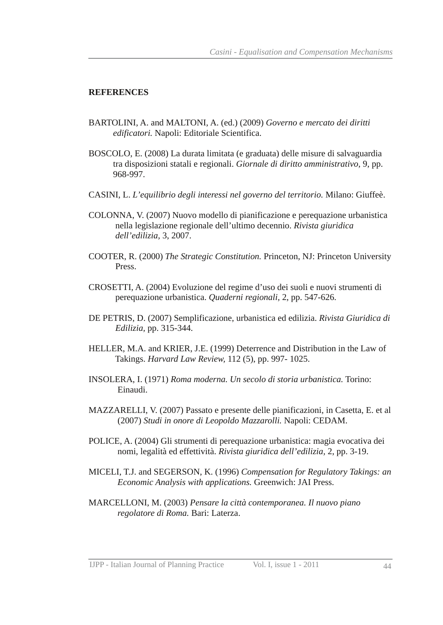#### **REFERENCES**

- BARTOLINI, A. and MALTONI, A. (ed.) (2009) *Governo e mercato dei diritti edificatori.* Napoli: Editoriale Scientifica.
- BOSCOLO, E. (2008) La durata limitata (e graduata) delle misure di salvaguardia tra disposizioni statali e regionali. *Giornale di diritto amministrativo,* 9, pp. 968997.
- CASINI, L. *L'equilibrio degli interessi nel governo del territorio.* Milano: Giuffeè.
- COLONNA, V. (2007) Nuovo modello di pianificazione e perequazione urbanistica nella legislazione regionale dell'ultimo decennio. *Rivista giuridica dell'edilizia,* 3, 2007.
- COOTER, R. (2000) *The Strategic Constitution.* Princeton, NJ: Princeton University Press.
- CROSETTI, A. (2004) Evoluzione del regime d'uso dei suoli e nuovi strumenti di perequazione urbanistica. *Quaderni regionali*, 2, pp. 547-626.
- DE PETRIS, D. (2007) Semplificazione, urbanistica ed edilizia. *Rivista Giuridica di Edilizia*, pp. 315-344.
- HELLER, M.A. and KRIER, J.E. (1999) Deterrence and Distribution in the Law of Takings. *Harvard Law Review,* 112 (5), pp. 997 1025.
- INSOLERA, I. (1971) *Roma moderna. Un secolo di storia urbanistica.* Torino: Einaudi.
- MAZZARELLI, V. (2007) Passato e presente delle pianificazioni, in Casetta, E. et al (2007) *Studi in onore di Leopoldo Mazzarolli.* Napoli: CEDAM.
- POLICE, A. (2004) Gli strumenti di perequazione urbanistica: magia evocativa dei nomi, legalità ed effettività. *Rivista giuridica dell'edilizia,* 2, pp. 319.
- MICELI, T.J. and SEGERSON, K. (1996) *Compensation for Regulatory Takings: an Economic Analysis with applications.* Greenwich: JAI Press.
- MARCELLONI, M. (2003) *Pensare la città contemporanea. Il nuovo piano regolatore di Roma.* Bari: Laterza.